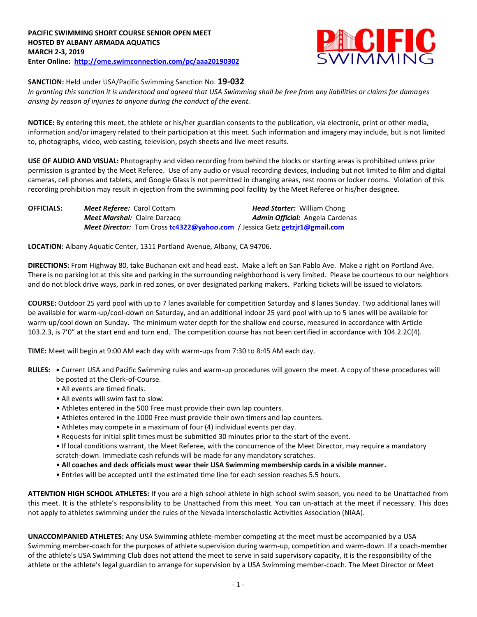

**SANCTION:** Held under USA/Pacific Swimming Sanction No. **19-032**

*In granting this sanction it is understood and agreed that USA Swimming shall be free from any liabilities or claims for damages arising by reason of injuries to anyone during the conduct of the event.*

**NOTICE:** By entering this meet, the athlete or his/her guardian consents to the publication, via electronic, print or other media, information and/or imagery related to their participation at this meet. Such information and imagery may include, but is not limited to, photographs, video, web casting, television, psych sheets and live meet results.

**USE OF AUDIO AND VISUAL:** Photography and video recording from behind the blocks or starting areas is prohibited unless prior permission is granted by the Meet Referee. Use of any audio or visual recording devices, including but not limited to film and digital cameras, cell phones and tablets, and Google Glass is not permitted in changing areas, rest rooms or locker rooms. Violation of this recording prohibition may result in ejection from the swimming pool facility by the Meet Referee or his/her designee.

| <b>OFFICIALS:</b> | <b>Meet Referee: Carol Cottam</b>                                                 | <b>Head Starter: William Chong</b>     |
|-------------------|-----------------------------------------------------------------------------------|----------------------------------------|
|                   | <b>Meet Marshal: Claire Darzacq</b>                                               | <b>Admin Official:</b> Angela Cardenas |
|                   | <b>Meet Director:</b> Tom Cross tc4322@yahoo.com / Jessica Getz getzir1@gmail.com |                                        |

**LOCATION:** Albany Aquatic Center, 1311 Portland Avenue, Albany, CA 94706.

**DIRECTIONS:** From Highway 80, take Buchanan exit and head east. Make a left on San Pablo Ave. Make a right on Portland Ave. There is no parking lot at this site and parking in the surrounding neighborhood is very limited. Please be courteous to our neighbors and do not block drive ways, park in red zones, or over designated parking makers. Parking tickets will be issued to violators.

**COURSE:** Outdoor 25 yard pool with up to 7 lanes available for competition Saturday and 8 lanes Sunday. Two additional lanes will be available for warm-up/cool-down on Saturday, and an additional indoor 25 yard pool with up to 5 lanes will be available for warm-up/cool down on Sunday. The minimum water depth for the shallow end course, measured in accordance with Article 103.2.3, is 7'0" at the start end and turn end. The competition course has not been certified in accordance with 104.2.2C(4).

**TIME:** Meet will begin at 9:00 AM each day with warm-ups from 7:30 to 8:45 AM each day.

- **RULES: •** Current USA and Pacific Swimming rules and warm-up procedures will govern the meet. A copy of these procedures will be posted at the Clerk-of-Course.
	- All events are timed finals.
	- All events will swim fast to slow.
	- Athletes entered in the 500 Free must provide their own lap counters.
	- Athletes entered in the 1000 Free must provide their own timers and lap counters.
	- Athletes may compete in a maximum of four (4) individual events per day.
	- Requests for initial split times must be submitted 30 minutes prior to the start of the event.

• If local conditions warrant, the Meet Referee, with the concurrence of the Meet Director, may require a mandatory scratch-down. Immediate cash refunds will be made for any mandatory scratches.

- **All coaches and deck officials must wear their USA Swimming membership cards in a visible manner.**
- Entries will be accepted until the estimated time line for each session reaches 5.5 hours.

**ATTENTION HIGH SCHOOL ATHLETES:** If you are a high school athlete in high school swim season, you need to be Unattached from this meet. It is the athlete's responsibility to be Unattached from this meet. You can un-attach at the meet if necessary. This does not apply to athletes swimming under the rules of the Nevada Interscholastic Activities Association (NIAA).

**UNACCOMPANIED ATHLETES:** Any USA Swimming athlete-member competing at the meet must be accompanied by a USA Swimming member-coach for the purposes of athlete supervision during warm-up, competition and warm-down. If a coach-member of the athlete's USA Swimming Club does not attend the meet to serve in said supervisory capacity, it is the responsibility of the athlete or the athlete's legal guardian to arrange for supervision by a USA Swimming member-coach. The Meet Director or Meet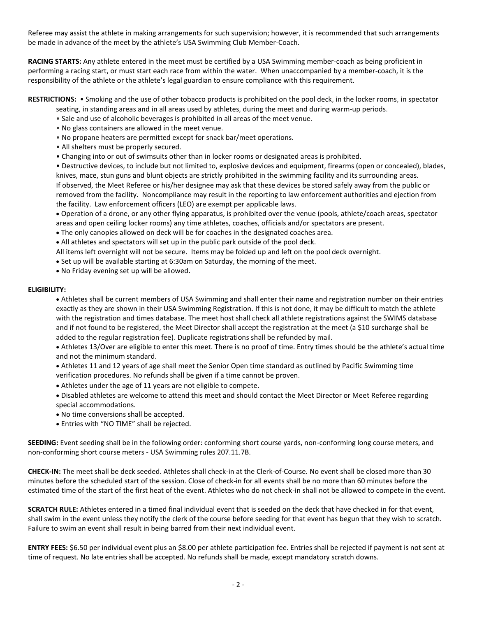Referee may assist the athlete in making arrangements for such supervision; however, it is recommended that such arrangements be made in advance of the meet by the athlete's USA Swimming Club Member-Coach.

**RACING STARTS:** Any athlete entered in the meet must be certified by a USA Swimming member-coach as being proficient in performing a racing start, or must start each race from within the water. When unaccompanied by a member-coach, it is the responsibility of the athlete or the athlete's legal guardian to ensure compliance with this requirement.

## **RESTRICTIONS:** • Smoking and the use of other tobacco products is prohibited on the pool deck, in the locker rooms, in spectator seating, in standing areas and in all areas used by athletes, during the meet and during warm-up periods.

- Sale and use of alcoholic beverages is prohibited in all areas of the meet venue.
- No glass containers are allowed in the meet venue.
- No propane heaters are permitted except for snack bar/meet operations.
- All shelters must be properly secured.
- Changing into or out of swimsuits other than in locker rooms or designated areas is prohibited.

• Destructive devices, to include but not limited to, explosive devices and equipment, firearms (open or concealed), blades, knives, mace, stun guns and blunt objects are strictly prohibited in the swimming facility and its surrounding areas. If observed, the Meet Referee or his/her designee may ask that these devices be stored safely away from the public or removed from the facility. Noncompliance may result in the reporting to law enforcement authorities and ejection from the facility. Law enforcement officers (LEO) are exempt per applicable laws.

 Operation of a drone, or any other flying apparatus, is prohibited over the venue (pools, athlete/coach areas, spectator areas and open ceiling locker rooms) any time athletes, coaches, officials and/or spectators are present.

- The only canopies allowed on deck will be for coaches in the designated coaches area.
- All athletes and spectators will set up in the public park outside of the pool deck.

All items left overnight will not be secure. Items may be folded up and left on the pool deck overnight.

- Set up will be available starting at 6:30am on Saturday, the morning of the meet.
- No Friday evening set up will be allowed.

## **ELIGIBILITY:**

 Athletes shall be current members of USA Swimming and shall enter their name and registration number on their entries exactly as they are shown in their USA Swimming Registration. If this is not done, it may be difficult to match the athlete with the registration and times database. The meet host shall check all athlete registrations against the SWIMS database and if not found to be registered, the Meet Director shall accept the registration at the meet (a \$10 surcharge shall be added to the regular registration fee). Duplicate registrations shall be refunded by mail.

 Athletes 13/Over are eligible to enter this meet. There is no proof of time. Entry times should be the athlete's actual time and not the minimum standard.

- Athletes 11 and 12 years of age shall meet the Senior Open time standard as outlined by Pacific Swimming time verification procedures. No refunds shall be given if a time cannot be proven.
- Athletes under the age of 11 years are not eligible to compete.
- Disabled athletes are welcome to attend this meet and should contact the Meet Director or Meet Referee regarding special accommodations.
- No time conversions shall be accepted.
- Entries with "NO TIME" shall be rejected.

**SEEDING:** Event seeding shall be in the following order: conforming short course yards, non-conforming long course meters, and non-conforming short course meters - USA Swimming rules 207.11.7B.

**CHECK-IN:** The meet shall be deck seeded. Athletes shall check-in at the Clerk-of-Course. No event shall be closed more than 30 minutes before the scheduled start of the session. Close of check‐in for all events shall be no more than 60 minutes before the estimated time of the start of the first heat of the event. Athletes who do not check-in shall not be allowed to compete in the event.

**SCRATCH RULE:** Athletes entered in a timed final individual event that is seeded on the deck that have checked in for that event, shall swim in the event unless they notify the clerk of the course before seeding for that event has begun that they wish to scratch. Failure to swim an event shall result in being barred from their next individual event.

**ENTRY FEES:** \$6.50 per individual event plus an \$8.00 per athlete participation fee. Entries shall be rejected if payment is not sent at time of request. No late entries shall be accepted. No refunds shall be made, except mandatory scratch downs.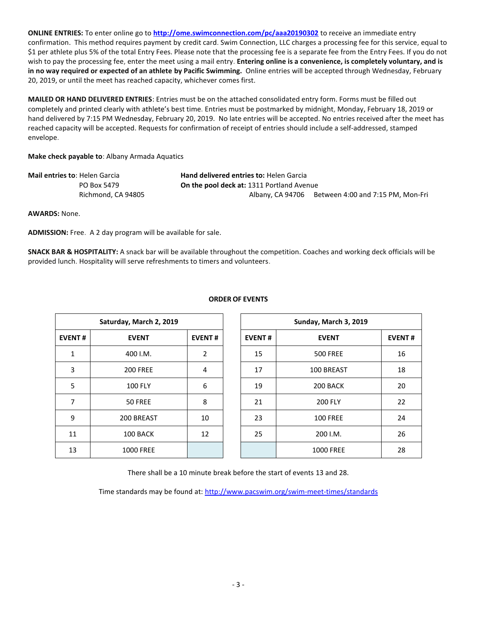**ONLINE ENTRIES:** To enter online go to **<http://ome.swimconnection.com/pc/aaa20190302>** to receive an immediate entry confirmation. This method requires payment by credit card. Swim Connection, LLC charges a processing fee for this service, equal to \$1 per athlete plus 5% of the total Entry Fees. Please note that the processing fee is a separate fee from the Entry Fees. If you do not wish to pay the processing fee, enter the meet using a mail entry. **Entering online is a convenience, is completely voluntary, and is in no way required or expected of an athlete by Pacific Swimming.** Online entries will be accepted through Wednesday, February 20, 2019, or until the meet has reached capacity, whichever comes first.

**MAILED OR HAND DELIVERED ENTRIES**: Entries must be on the attached consolidated entry form. Forms must be filled out completely and printed clearly with athlete's best time. Entries must be postmarked by midnight, Monday, February 18, 2019 or hand delivered by 7:15 PM Wednesday, February 20, 2019. No late entries will be accepted. No entries received after the meet has reached capacity will be accepted. Requests for confirmation of receipt of entries should include a self-addressed, stamped envelope.

**Make check payable to**: Albany Armada Aquatics

| Mail entries to: Helen Garcia | <b>Hand delivered entries to: Helen Garcia</b>   |                                                    |
|-------------------------------|--------------------------------------------------|----------------------------------------------------|
| PO Box 5479                   | <b>On the pool deck at: 1311 Portland Avenue</b> |                                                    |
| Richmond, CA 94805            |                                                  | Albany, CA 94706 Between 4:00 and 7:15 PM, Mon-Fri |

**AWARDS:** None.

**ADMISSION:** Free. A 2 day program will be available for sale.

**SNACK BAR & HOSPITALITY:** A snack bar will be available throughout the competition. Coaches and working deck officials will be provided lunch. Hospitality will serve refreshments to timers and volunteers.

|               | Saturday, March 2, 2019 |                | Sunday, March 3, 2019 |                  |               |  |
|---------------|-------------------------|----------------|-----------------------|------------------|---------------|--|
| <b>EVENT#</b> | <b>EVENT</b>            | <b>EVENT#</b>  | <b>EVENT#</b>         | <b>EVENT</b>     | <b>EVENT#</b> |  |
| 1             | 400 I.M.                | $\overline{2}$ | 15                    | <b>500 FREE</b>  | 16            |  |
| 3             | <b>200 FREE</b>         | 4              | 17                    | 100 BREAST       | 18            |  |
| 5             | <b>100 FLY</b>          | 6              | 19                    | 200 BACK         | 20            |  |
| 7             | <b>50 FREE</b>          | 8              | 21                    | <b>200 FLY</b>   | 22            |  |
| 9             | 200 BREAST              | 10             | 23                    | <b>100 FREE</b>  | 24            |  |
| 11            | 100 BACK                | 12             | 25                    | 200 I.M.         | 26            |  |
| 13            | <b>1000 FREE</b>        |                |                       | <b>1000 FREE</b> | 28            |  |

## **ORDER OF EVENTS**

There shall be a 10 minute break before the start of events 13 and 28.

Time standards may be found at:<http://www.pacswim.org/swim-meet-times/standards>